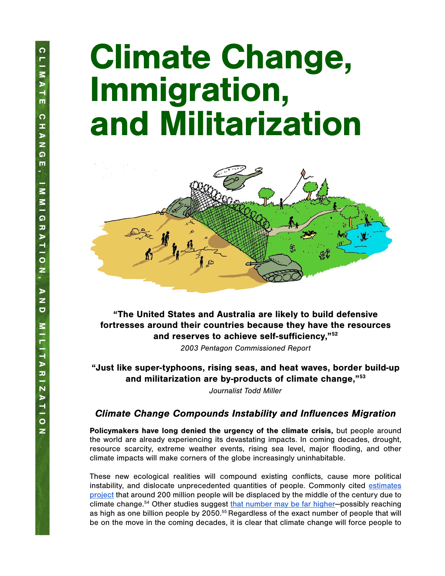# Climate Change, Immigration, and Militarization



"The United States and Australia are likely to build defensive fortresses around their countries because they have the resources and reserves to achieve self-sufficiency,"52

*2003 Pentagon Commissioned Report*

"Just like super-typhoons, rising seas, and heat waves, border build-up and militarization are by-products of climate change,"53

*Journalist Todd Miller* 

### Climate Change Compounds Instability and Influences Migration

Policymakers have long denied the urgency of the climate crisis, but people around the world are already experiencing its devastating impacts. In coming decades, drought, resource scarcity, extreme weather events, rising sea level, major flooding, and other climate impacts will make corners of the globe increasingly uninhabitable.

These new ecological realities will compound existing conflicts, cause more political instability, and dislocate unprecedented quantities of people. Commonly cited [estimates](https://publications.iom.int/books/mrs-ndeg31-migration-and-climate-change) [project](https://publications.iom.int/books/mrs-ndeg31-migration-and-climate-change) that around 200 million people will be displaced by the middle of the century due to climate change.<sup>54</sup> Other studies suggest [that number may be far higher](http://www.citylights.com/book/?GCOI=87286100615860)-possibly reaching as high as one billion people by 2050.<sup>55</sup> Regardless of the exact number of people that will be on the move in the coming decades, it is clear that climate change will force people to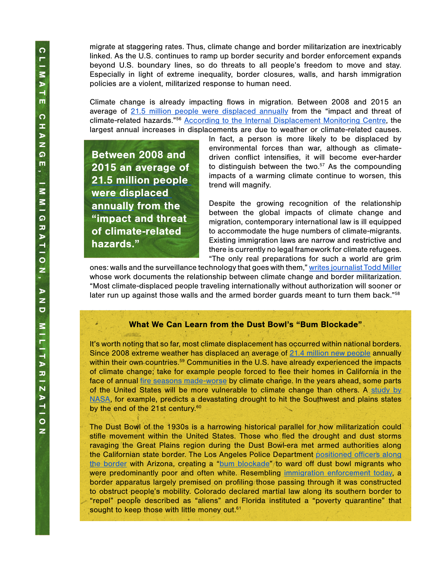Between 2008 and 2015 an average of [21.5 million people](https://www.internal-displacement.org/sites/default/files/publications/documents/2016-global-report-internal-displacement-IDMC.pdf)  [were displaced](https://www.internal-displacement.org/sites/default/files/publications/documents/2016-global-report-internal-displacement-IDMC.pdf) 

> [annually](https://www.internal-displacement.org/sites/default/files/publications/documents/2016-global-report-internal-displacement-IDMC.pdf) from the "impact and threat of climate-related

hazards."

migrate at staggering rates. Thus, climate change and border militarization are inextricably linked. As the U.S. continues to ramp up border security and border enforcement expands beyond U.S. boundary lines, so do threats to all people's freedom to move and stay. Especially in light of extreme inequality, border closures, walls, and harsh immigration policies are a violent, militarized response to human need.

Climate change is already impacting flows in migration. Between 2008 and 2015 an average of [21.5 million people were displaced annually](https://www.internal-displacement.org/sites/default/files/publications/documents/2016-global-report-internal-displacement-IDMC.pdf) from the "impact and threat of climate-related hazards."56 [According to the Internal Displacement Monitoring Centre](https://www.internal-displacement.org/sites/default/files/inline-files/20150713-global-estimates-2015-en-v1.pdf), the largest annual increases in displacements are due to weather or climate-related causes.

> In fact, a person is more likely to be displaced by environmental forces than war, although as climatedriven conflict intensifies, it will become ever-harder to distinguish between the two. $57$  As the compounding impacts of a warming climate continue to worsen, this trend will magnify.

> Despite the growing recognition of the relationship between the global impacts of climate change and migration, contemporary international law is ill equipped to accommodate the huge numbers of climate-migrants. Existing immigration laws are narrow and restrictive and there is currently no legal framework for climate refugees. "The only real preparations for such a world are grim

ones: walls and the surveillance technology that goes with them," [writes journalist Todd Miller](https://www.thenation.com/article/archive/the-united-states-is-polluting-the-world-and-locking-refugees-out/) whose work documents the relationship between climate change and border militarization. "Most climate-displaced people traveling internationally without authorization will sooner or later run up against those walls and the armed border guards meant to turn them back."<sup>58</sup>

#### What We Can Learn from the Dust Bowl's "Bum Blockade"

It's worth noting that so far, most climate displacement has occurred within national borders. Since 2008 extreme weather has displaced an average of [21.4 million new people](https://theleap.org/portfolio-items/climate-migration-briefing/) annually within their own countries.<sup>59</sup> Communities in the U.S. have already experienced the impacts of climate change; take for example people forced to flee their homes in California in the face of annual [fire seasons made-worse](https://www.nationalgeographic.com/science/2019/10/climate-change-california-power-outage/) by climate change. In the years ahead, some parts of the United States will be more vulnerable to climate change than others. A [study by](https://theuptake.org/2015/02/12/nasa-predicts-20-40-year-megadroughts-in-us-because-of-man-made-climate-change/) [NASA,](https://theuptake.org/2015/02/12/nasa-predicts-20-40-year-megadroughts-in-us-because-of-man-made-climate-change/) for example, predicts a devastating drought to hit the Southwest and plains states by the end of the 21st century.<sup>60</sup>

The Dust Bowl of the 1930s is a harrowing historical parallel for how militarization could stifle movement within the United States. Those who fled the drought and dust storms ravaging the Great Plains region during the Dust Bowl-era met armed authorities along the Californian state border. The Los Angeles Police Department [positioned officers along](https://digitalcommons.ilr.cornell.edu/cgi/viewcontent.cgi?referer=https://www.google.com/&httpsredir=1&article=1060&context=lrr) [the border](https://digitalcommons.ilr.cornell.edu/cgi/viewcontent.cgi?referer=https://www.google.com/&httpsredir=1&article=1060&context=lrr) with Arizona, creating a ["bum blockade](https://www.latimes.com/archives/la-xpm-2003-mar-09-me-then9-story.html)"/to ward off dust bowl migrants who were predominantly poor and often white. Resembling [immigration enforcement today,](http://www.citylights.com/book/?GCOI=87286100615860) a border apparatus largely premised on profiling those passing through it was constructed to obstruct people's mobility. Colorado declared martial law along its southern border to "repel" people described as "aliens" and Florida instituted a "poverty quarantine" that sought to keep those with little money out.<sup>61</sup>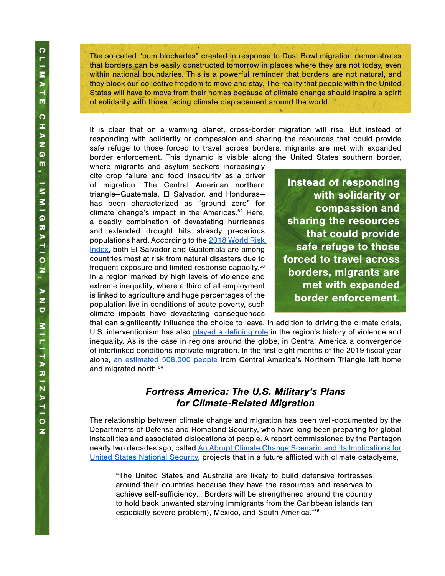The so-called "bum blockades" created in response to Dust Bowl migration demonstrates that borders can be easily constructed tomorrow in places where they are not today, even within national boundaries. This is a powerful reminder that borders are not natural, and they block our collective freedom to move and stay. The reality that people within the United States will have to move from their homes because of climate change should inspire a spirit of solidarity with those facing climate displacement around the world.

It is clear that on a warming planet, cross-border migration will rise. But instead of responding with solidarity or compassion and sharing the resources that could provide safe refuge to those forced to travel across borders, migrants are met with expanded border enforcement. This dynamic is visible along the United States southern border,

where migrants and asylum seekers increasingly cite crop failure and food insecurity as a driver of migration. The Central American northern triangle—Guatemala, El Salvador, and Honduras has been characterized as "ground zero" for climate change's impact in the Americas.62 Here, a deadly combination of devastating hurricanes and extended drought hits already precarious populations hard. According to the [2018 World Risk](https://reliefweb.int/sites/reliefweb.int/files/resources/WorldRiskReport-2018.pdf)  [Index](https://reliefweb.int/sites/reliefweb.int/files/resources/WorldRiskReport-2018.pdf), both El Salvador and Guatemala are among countries most at risk from natural disasters due to frequent exposure and limited response capacity.<sup>63</sup> In a region marked by high levels of violence and extreme inequality, where a third of all employment is linked to agriculture and huge percentages of the population live in conditions of acute poverty, such climate impacts have devastating consequences

Instead of responding with solidarity or compassion and sharing the resources that could provide safe refuge to those forced to travel across borders, migrants are met with expanded border enforcement.

that can significantly influence the choice to leave. In addition to driving the climate crisis, U.S. interventionism has also [played a defining role](https://www.theguardian.com/us-news/2018/dec/19/central-america-migrants-us-foreign-policy) in the region's history of violence and inequality. As is the case in regions around the globe, in Central America a convergence of interlinked conditions motivate migration. In the first eight months of the 2019 fiscal year alone, [an estimated 508,000 people](https://fas.org/sgp/crs/row/IF11151.pdf) from Central America's Northern Triangle left home and migrated north.64

#### Fortress America: The U.S. Military's Plans for Climate-Related Migration

The relationship between climate change and migration has been well-documented by the Departments of Defense and Homeland Security, who have long been preparing for global instabilities and associated dislocations of people. A report commissioned by the Pentagon nearly two decades ago, called [An Abrupt Climate Change Scenario and Its Implications for](https://eesc.columbia.edu/courses/v1003/readings/Pentagon.pdf) [United States National Security,](https://eesc.columbia.edu/courses/v1003/readings/Pentagon.pdf) projects that in a future afflicted with climate cataclysms,

"The United States and Australia are likely to build defensive fortresses around their countries because they have the resources and reserves to achieve self-sufficiency… Borders will be strengthened around the country to hold back unwanted starving immigrants from the Caribbean islands (an especially severe problem), Mexico, and South America."65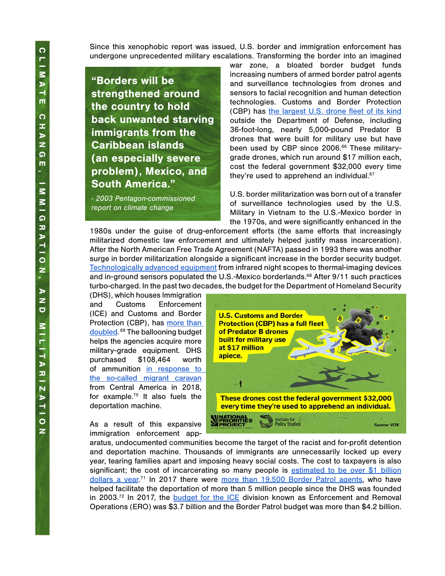Since this xenophobic report was issued, U.S. border and immigration enforcement has undergone unprecedented military escalations. Transforming the border into an imagined

"Borders will be strengthened around the country to hold back unwanted starving immigrants from the Caribbean islands (an especially severe problem), Mexico, and South America."

*- 2003 Pentagon-commissioned report on climate change*

war zone, a bloated border budget funds increasing numbers of armed border patrol agents and surveillance technologies from drones and sensors to facial recognition and human detection technologies. Customs and Border Protection (CBP) has [the largest U.S. drone fleet of its kind](https://www.washingtonpost.com/world/national-security/border-patrol-drones-being-borrowed-by-other-agencies-more-often-than-previously-known/2014/01/14/5f987af0-7d49-11e3-9556-4a4bf7bcbd84_story.html) outside the Department of Defense, including 36-foot-long, nearly 5,000-pound Predator B drones that were built for military use but have been used by CBP since 2006.<sup>66</sup> These militarygrade drones, which run around \$17 million each, cost the federal government \$32,000 every time they're used to apprehend an individual.<sup>67</sup>

U.S. border militarization was born out of a transfer of surveillance technologies used by the U.S. Military in Vietnam to the U.S.-Mexico border in the 1970s, and were significantly enhanced in the

1980s under the guise of drug-enforcement efforts (the same efforts that increasingly militarized domestic law enforcement and ultimately helped justify mass incarceration). After the North American Free Trade Agreement (NAFTA) passed in 1993 there was another surge in border militarization alongside a significant increase in the border security budget. [Technologically advanced equipment](https://nacla.org/blog/2019/01/17/militarization-southern-border-long-standing-american-tradition) from infrared night scopes to thermal-imaging devices and in-ground sensors populated the U.S.-Mexico borderlands.<sup>68</sup> After 9/11 such practices turbo-charged. In the past two decades, the budget for the Department of Homeland Security

(DHS), which houses Immigration and Customs Enforcement (ICE) and Customs and Border Protection (CBP), has more than [doubled.](https://www.tni.org/en/morethanawall) 69 The ballooning budget helps the agencies acquire more military-grade equipment. DHS purchased \$108,464 worth of ammunition [in response to](https://qz.com/1532502/the-us-prepared-for-migrant-caravans-with-ammo-and-riot-gear/)  [the so-called migrant caravan](https://qz.com/1532502/the-us-prepared-for-migrant-caravans-with-ammo-and-riot-gear/) from Central America in 2018, for example.70 It also fuels the deportation machine.

As a result of this expansive immigration enforcement app-



aratus, undocumented communities become the target of the racist and for-profit detention and deportation machine. Thousands of immigrants are unnecessarily locked up every year, tearing families apart and imposing heavy social costs. The cost to taxpayers is also significant; the cost of incarcerating so many people is [estimated to be over \\$1 billion](https://derechoshumanosaz.net/coalition-work/the-criminalization-of-migration/) [dollars a year.](https://derechoshumanosaz.net/coalition-work/the-criminalization-of-migration/)<sup>71</sup> In 2017 there were [more than 19,500 Border Patrol agents,](https://ips-dc.org/report-moral-budget-2/) who have helped facilitate the deportation of more than 5 million people since the DHS was founded in 2003.<sup>72</sup> In 2017, the **[budget for the ICE](https://ips-dc.org/report-moral-budget-2/)** division known as Enforcement and Removal Operations (ERO) was \$3.7 billion and the Border Patrol budget was more than \$4.2 billion.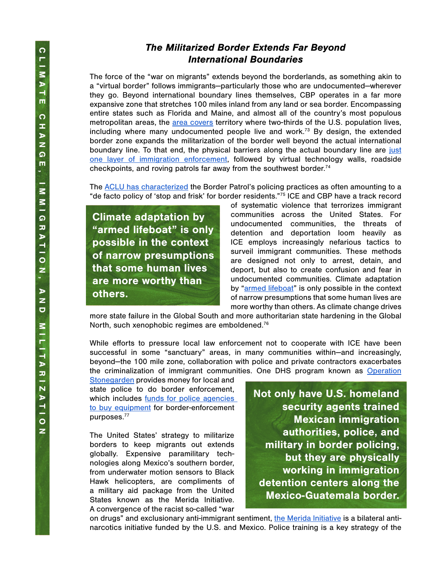## The Militarized Border Extends Far Beyond International Boundaries

The force of the "war on migrants" extends beyond the borderlands, as something akin to a "virtual border" follows immigrants—particularly those who are undocumented—wherever they go. Beyond international boundary lines themselves, CBP operates in a far more expansive zone that stretches 100 miles inland from any land or sea border. Encompassing entire states such as Florida and Maine, and almost all of the country's most populous metropolitan areas, the [area covers](https://www.tni.org/en/morethanawall) territory where two-thirds of the U.S. population lives, including where many undocumented people live and work.<sup>73</sup> By design, the extended border zone expands the militarization of the border well beyond the actual international boundary line. To that end, the physical barriers along the actual boundary line are [just](https://www.tni.org/en/morethanawall) [one layer of immigration enforcement,](https://www.tni.org/en/morethanawall) followed by virtual technology walls, roadside checkpoints, and roving patrols far away from the southwest border.<sup>74</sup>

The **ACLU** has characterized the Border Patrol's policing practices as often amounting to a "de facto policy of 'stop and frisk' for border residents."75 ICE and CBP have a track record

Climate adaptation by "armed lifeboat" is only possible in the context of narrow presumptions that some human lives are more worthy than others.

of systematic violence that terrorizes immigrant communities across the United States. For undocumented communities, the threats of detention and deportation loom heavily as ICE employs increasingly nefarious tactics to surveil immigrant communities. These methods are designed not only to arrest, detain, and deport, but also to create confusion and fear in undocumented communities. Climate adaptation by ["armed lifeboat](https://www.utne.com/politics/natural-disaster-zm0z13sozros)" is only possible in the context of narrow presumptions that some human lives are more worthy than others. As climate change drives

more state failure in the Global South and more authoritarian state hardening in the Global North, such xenophobic regimes are emboldened.<sup>76</sup>

While efforts to pressure local law enforcement not to cooperate with ICE have been successful in some "sanctuary" areas, in many communities within—and increasingly, beyond—the 100 mile zone, collaboration with police and private contractors exacerbates [th](https://www.homelandsecuritygrants.info/grantdetails.aspx?gid=21875)e criminalization of immigrant communities. One DHS program known as [Operation](https://www.homelandsecuritygrants.info/grantdetails.aspx?gid=21875)

[Stonegarden](https://www.homelandsecuritygrants.info/grantdetails.aspx?gid=21875) provides money for local and state police to do border enforcement, which includes funds for police agencies [to buy equipment](https://www.tni.org/en/morethanawall) for border-enforcement purposes.77

The United States' strategy to militarize borders to keep migrants out extends globally. Expensive paramilitary technologies along Mexico's southern border, from underwater motion sensors to Black Hawk helicopters, are compliments of a military aid package from the United States known as the Merida Initiative. A convergence of the racist so-called "war Not only have U.S. homeland security agents trained Mexican immigration authorities, police, and military in border policing, but they are physically working in immigration detention centers along the Mexico-Guatemala border.

on drugs" and exclusionary anti-immigrant sentiment, [the Merida Initiative](https://www.counterpunch.org/2016/03/17/drug-war-capitalism-an-interview-with-dawn-paley/) is a bilateral antinarcotics initiative funded by the U.S. and Mexico. Police training is a key strategy of the